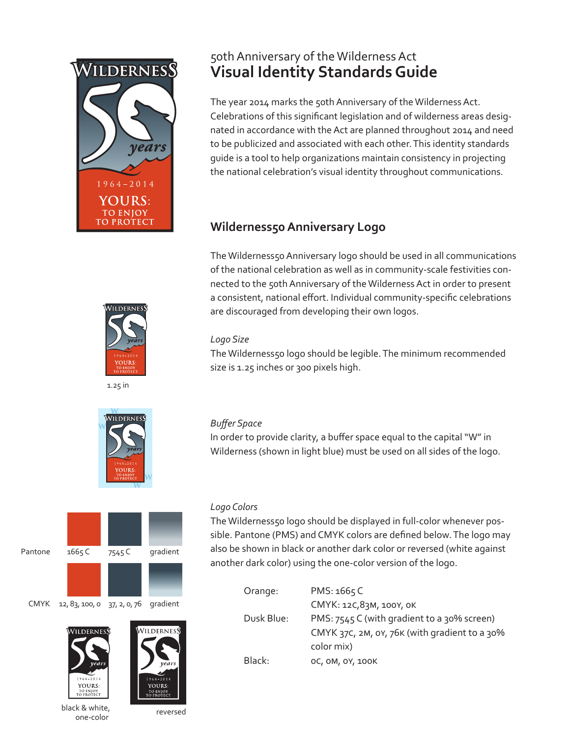

1.25 in



# Pantone 1665 C CMYK 12, 83, 100, 0 37, 2, 0, 76 gradient 7545 C gradient



**LDERNES** YOURS

black & white, x a writte,<br>one-color reversed



The year 2014 marks the 50th Anniversary of the Wilderness Act. Celebrations of this significant legislation and of wilderness areas designated in accordance with the Act are planned throughout 2014 and need to be publicized and associated with each other. This identity standards guide is a tool to help organizations maintain consistency in projecting the national celebration's visual identity throughout communications.

# **Wilderness50 Anniversary Logo**

The Wilderness50 Anniversary logo should be used in all communications of the national celebration as well as in community-scale festivities connected to the 50th Anniversary of the Wilderness Act in order to present a consistent, national effort. Individual community-specific celebrations are discouraged from developing their own logos.

### *Logo Size*

The Wilderness50 logo should be legible. The minimum recommended size is 1.25 inches or 300 pixels high.

### *Buffer Space*

In order to provide clarity, a buffer space equal to the capital "W" in Wilderness (shown in light blue) must be used on all sides of the logo.

### *Logo Colors*

The Wilderness50 logo should be displayed in full-color whenever possible. Pantone (PMS) and CMYK colors are defined below. The logo may also be shown in black or another dark color or reversed (white against another dark color) using the one-color version of the logo.

| Orange:    | PMS: 1665 C                                   |
|------------|-----------------------------------------------|
|            | CMYK: 12C, 83M, 100Y, 0K                      |
| Dusk Blue: | PMS: 7545 C (with gradient to a 30% screen)   |
|            | CMYK 37C, 2M, 0Y, 76K (with gradient to a 30% |
|            | color mix)                                    |
| Black:     | OC, OM, OY, 100K                              |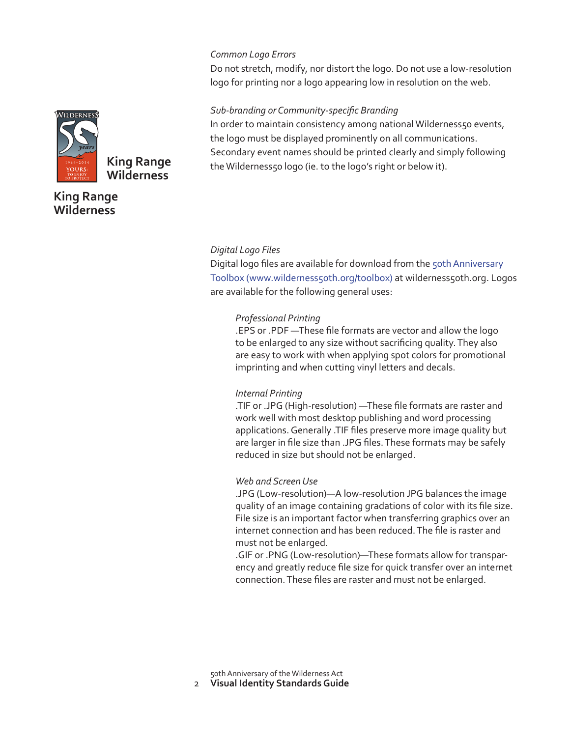#### *Common Logo Errors*

Do not stretch, modify, nor distort the logo. Do not use a low-resolution logo for printing nor a logo appearing low in resolution on the web.

#### *Sub-branding or Community-specific Branding*

In order to maintain consistency among national Wilderness50 events, the logo must be displayed prominently on all communications. Secondary event names should be printed clearly and simply following the Wilderness50 logo (ie. to the logo's right or below it).

#### *Digital Logo Files*

Digital logo files are available for download from the 50th Anniversary [Toolbox \(](http://www.wilderness50th.org/toolbox)www.wilderness50th.org/toolbox) at wilderness50th.org. Logos are available for the following general uses:

#### *Professional Printing*

.EPS or .PDF —These file formats are vector and allow the logo to be enlarged to any size without sacrificing quality. They also are easy to work with when applying spot colors for promotional imprinting and when cutting vinyl letters and decals.

#### *Internal Printing*

.TIF or .JPG (High-resolution) —These file formats are raster and work well with most desktop publishing and word processing applications. Generally .TIF files preserve more image quality but are larger in file size than .JPG files. These formats may be safely reduced in size but should not be enlarged.

#### *Web and Screen Use*

.JPG (Low-resolution)—A low-resolution JPG balances the image quality of an image containing gradations of color with its file size. File size is an important factor when transferring graphics over an internet connection and has been reduced. The file is raster and must not be enlarged.

.GIF or .PNG (Low-resolution)—These formats allow for transparency and greatly reduce file size for quick transfer over an internet connection. These files are raster and must not be enlarged.



# **King Range Wilderness**